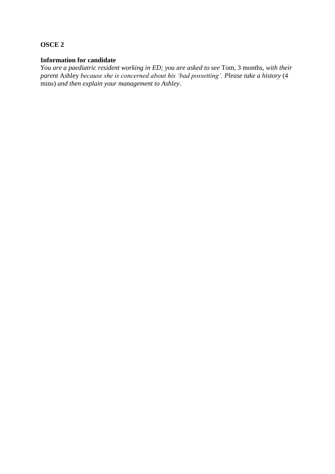### **OSCE 2**

#### **Information for candidate**

*You are a paediatric resident working in ED; you are asked to see* Tom, 3 months, *with their parent* Ashley *because she is concerned about his 'bad possetting'. Please take a history* (4 mins) *and then explain your management to Ashley*.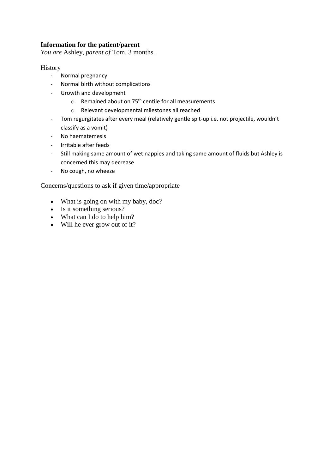# **Information for the patient/parent**

*You are* Ashley, *parent of* Tom, 3 months.

### History

- Normal pregnancy
- Normal birth without complications
- Growth and development
	- $\circ$  Remained about on 75<sup>th</sup> centile for all measurements
	- o Relevant developmental milestones all reached
- Tom regurgitates after every meal (relatively gentle spit-up i.e. not projectile, wouldn't classify as a vomit)
- No haematemesis
- Irritable after feeds
- Still making same amount of wet nappies and taking same amount of fluids but Ashley is concerned this may decrease
- No cough, no wheeze

Concerns/questions to ask if given time/appropriate

- What is going on with my baby, doc?
- Is it something serious?
- What can I do to help him?
- Will he ever grow out of it?